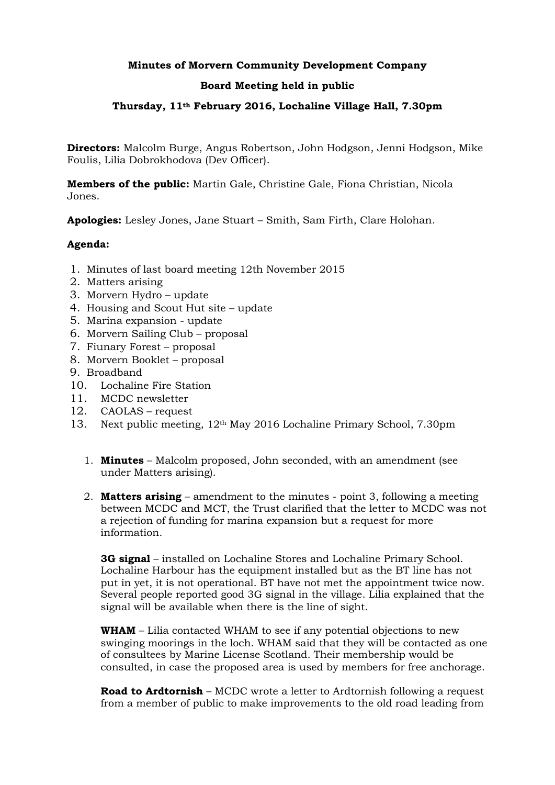# **Minutes of Morvern Community Development Company**

## **Board Meeting held in public**

## **Thursday, 11th February 2016, Lochaline Village Hall, 7.30pm**

**Directors:** Malcolm Burge, Angus Robertson, John Hodgson, Jenni Hodgson, Mike Foulis, Lilia Dobrokhodova (Dev Officer).

**Members of the public:** Martin Gale, Christine Gale, Fiona Christian, Nicola Jones.

**Apologies:** Lesley Jones, Jane Stuart – Smith, Sam Firth, Clare Holohan.

## **Agenda:**

- 1. Minutes of last board meeting 12th November 2015
- 2. Matters arising
- 3. Morvern Hydro update
- 4. Housing and Scout Hut site update
- 5. Marina expansion update
- 6. Morvern Sailing Club proposal
- 7. Fiunary Forest proposal
- 8. Morvern Booklet proposal
- 9. Broadband
- 10. Lochaline Fire Station
- 11. MCDC newsletter
- 12. CAOLAS request
- 13. Next public meeting, 12th May 2016 Lochaline Primary School, 7.30pm
	- 1. **Minutes** Malcolm proposed, John seconded, with an amendment (see under Matters arising).
	- 2. **Matters arising** amendment to the minutes point 3, following a meeting between MCDC and MCT, the Trust clarified that the letter to MCDC was not a rejection of funding for marina expansion but a request for more information.

**3G signal** – installed on Lochaline Stores and Lochaline Primary School. Lochaline Harbour has the equipment installed but as the BT line has not put in yet, it is not operational. BT have not met the appointment twice now. Several people reported good 3G signal in the village. Lilia explained that the signal will be available when there is the line of sight.

**WHAM** – Lilia contacted WHAM to see if any potential objections to new swinging moorings in the loch. WHAM said that they will be contacted as one of consultees by Marine License Scotland. Their membership would be consulted, in case the proposed area is used by members for free anchorage.

**Road to Ardtornish** – MCDC wrote a letter to Ardtornish following a request from a member of public to make improvements to the old road leading from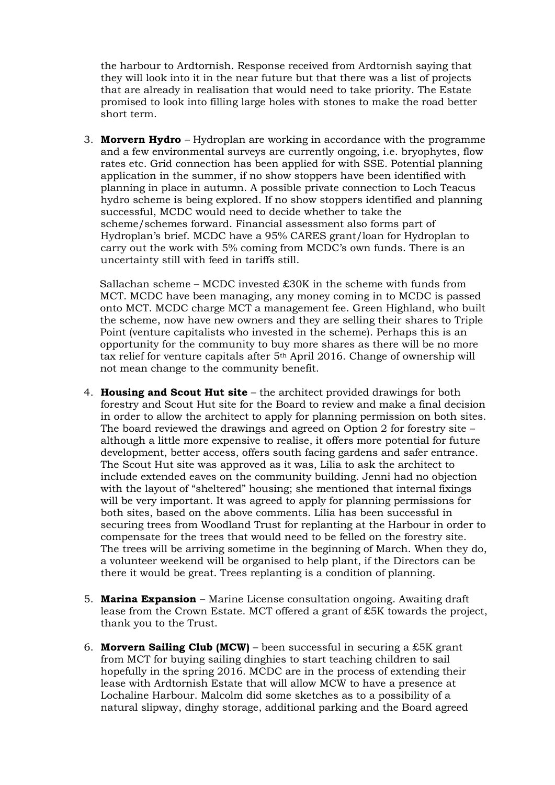the harbour to Ardtornish. Response received from Ardtornish saying that they will look into it in the near future but that there was a list of projects that are already in realisation that would need to take priority. The Estate promised to look into filling large holes with stones to make the road better short term.

3. **Morvern Hydro** – Hydroplan are working in accordance with the programme and a few environmental surveys are currently ongoing, i.e. bryophytes, flow rates etc. Grid connection has been applied for with SSE. Potential planning application in the summer, if no show stoppers have been identified with planning in place in autumn. A possible private connection to Loch Teacus hydro scheme is being explored. If no show stoppers identified and planning successful, MCDC would need to decide whether to take the scheme/schemes forward. Financial assessment also forms part of Hydroplan's brief. MCDC have a 95% CARES grant/loan for Hydroplan to carry out the work with 5% coming from MCDC's own funds. There is an uncertainty still with feed in tariffs still.

 Sallachan scheme – MCDC invested £30K in the scheme with funds from MCT. MCDC have been managing, any money coming in to MCDC is passed onto MCT. MCDC charge MCT a management fee. Green Highland, who built the scheme, now have new owners and they are selling their shares to Triple Point (venture capitalists who invested in the scheme). Perhaps this is an opportunity for the community to buy more shares as there will be no more tax relief for venture capitals after 5th April 2016. Change of ownership will not mean change to the community benefit.

- 4. **Housing and Scout Hut site** the architect provided drawings for both forestry and Scout Hut site for the Board to review and make a final decision in order to allow the architect to apply for planning permission on both sites. The board reviewed the drawings and agreed on Option 2 for forestry site – although a little more expensive to realise, it offers more potential for future development, better access, offers south facing gardens and safer entrance. The Scout Hut site was approved as it was, Lilia to ask the architect to include extended eaves on the community building. Jenni had no objection with the layout of "sheltered" housing; she mentioned that internal fixings will be very important. It was agreed to apply for planning permissions for both sites, based on the above comments. Lilia has been successful in securing trees from Woodland Trust for replanting at the Harbour in order to compensate for the trees that would need to be felled on the forestry site. The trees will be arriving sometime in the beginning of March. When they do, a volunteer weekend will be organised to help plant, if the Directors can be there it would be great. Trees replanting is a condition of planning.
- 5. **Marina Expansion**  Marine License consultation ongoing. Awaiting draft lease from the Crown Estate. MCT offered a grant of £5K towards the project, thank you to the Trust.
- 6. **Morvern Sailing Club (MCW)** been successful in securing a £5K grant from MCT for buying sailing dinghies to start teaching children to sail hopefully in the spring 2016. MCDC are in the process of extending their lease with Ardtornish Estate that will allow MCW to have a presence at Lochaline Harbour. Malcolm did some sketches as to a possibility of a natural slipway, dinghy storage, additional parking and the Board agreed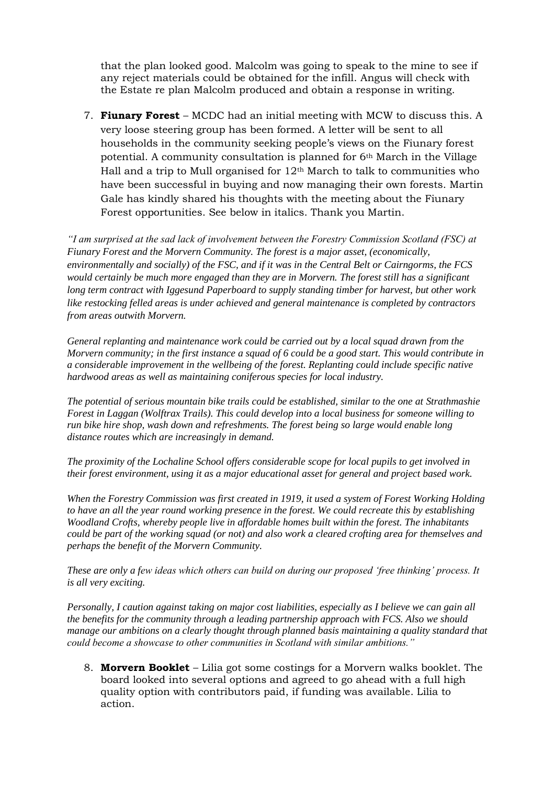that the plan looked good. Malcolm was going to speak to the mine to see if any reject materials could be obtained for the infill. Angus will check with the Estate re plan Malcolm produced and obtain a response in writing.

7. **Fiunary Forest** – MCDC had an initial meeting with MCW to discuss this. A very loose steering group has been formed. A letter will be sent to all households in the community seeking people's views on the Fiunary forest potential. A community consultation is planned for 6th March in the Village Hall and a trip to Mull organised for  $12<sup>th</sup>$  March to talk to communities who have been successful in buying and now managing their own forests. Martin Gale has kindly shared his thoughts with the meeting about the Fiunary Forest opportunities. See below in italics. Thank you Martin.

*"I am surprised at the sad lack of involvement between the Forestry Commission Scotland (FSC) at Fiunary Forest and the Morvern Community. The forest is a major asset, (economically, environmentally and socially) of the FSC, and if it was in the Central Belt or Cairngorms, the FCS would certainly be much more engaged than they are in Morvern. The forest still has a significant long term contract with Iggesund Paperboard to supply standing timber for harvest, but other work like restocking felled areas is under achieved and general maintenance is completed by contractors from areas outwith Morvern.*

*General replanting and maintenance work could be carried out by a local squad drawn from the Morvern community; in the first instance a squad of 6 could be a good start. This would contribute in a considerable improvement in the wellbeing of the forest. Replanting could include specific native hardwood areas as well as maintaining coniferous species for local industry.*

*The potential of serious mountain bike trails could be established, similar to the one at Strathmashie Forest in Laggan (Wolftrax Trails). This could develop into a local business for someone willing to run bike hire shop, wash down and refreshments. The forest being so large would enable long distance routes which are increasingly in demand.*

*The proximity of the Lochaline School offers considerable scope for local pupils to get involved in their forest environment, using it as a major educational asset for general and project based work.*

*When the Forestry Commission was first created in 1919, it used a system of Forest Working Holding to have an all the year round working presence in the forest. We could recreate this by establishing Woodland Crofts, whereby people live in affordable homes built within the forest. The inhabitants could be part of the working squad (or not) and also work a cleared crofting area for themselves and perhaps the benefit of the Morvern Community.*

*These are only a few ideas which others can build on during our proposed 'free thinking' process. It is all very exciting.*

*Personally, I caution against taking on major cost liabilities, especially as I believe we can gain all the benefits for the community through a leading partnership approach with FCS. Also we should manage our ambitions on a clearly thought through planned basis maintaining a quality standard that could become a showcase to other communities in Scotland with similar ambitions."*

8. **Morvern Booklet** – Lilia got some costings for a Morvern walks booklet. The board looked into several options and agreed to go ahead with a full high quality option with contributors paid, if funding was available. Lilia to action.